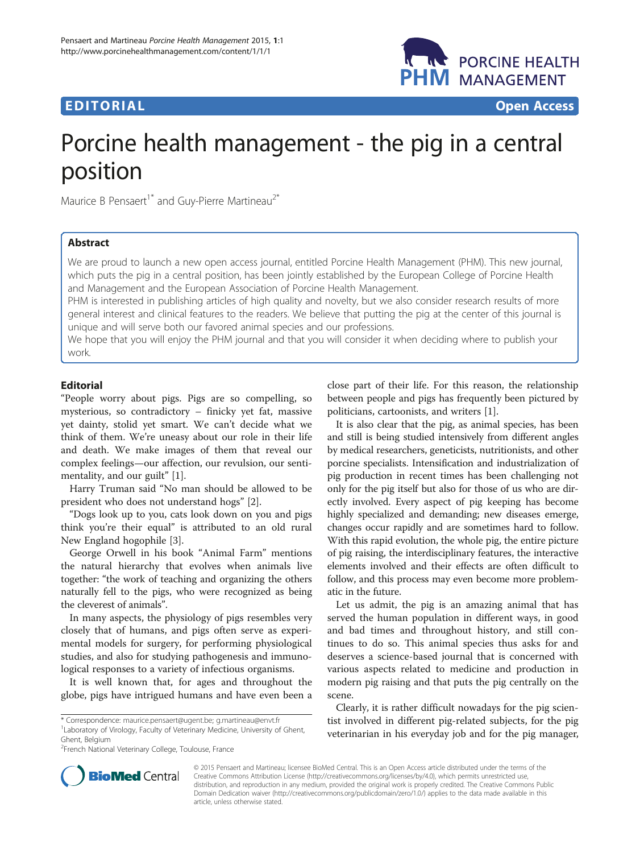



# Porcine health management - the pig in a central position

Maurice B Pensaert<sup>1\*</sup> and Guy-Pierre Martineau<sup>2\*</sup>

## Abstract

We are proud to launch a new open access journal, entitled Porcine Health Management (PHM). This new journal, which puts the pig in a central position, has been jointly established by the European College of Porcine Health and Management and the European Association of Porcine Health Management.

PHM is interested in publishing articles of high quality and novelty, but we also consider research results of more general interest and clinical features to the readers. We believe that putting the pig at the center of this journal is unique and will serve both our favored animal species and our professions.

We hope that you will enjoy the PHM journal and that you will consider it when deciding where to publish your work.

## Editorial

"People worry about pigs. Pigs are so compelling, so mysterious, so contradictory – finicky yet fat, massive yet dainty, stolid yet smart. We can't decide what we think of them. We're uneasy about our role in their life and death. We make images of them that reveal our complex feelings—our affection, our revulsion, our sentimentality, and our guilt" [\[1\]](#page-1-0).

Harry Truman said "No man should be allowed to be president who does not understand hogs" [\[2](#page-1-0)].

"Dogs look up to you, cats look down on you and pigs think you're their equal" is attributed to an old rural New England hogophile [[3\]](#page-1-0).

George Orwell in his book "Animal Farm" mentions the natural hierarchy that evolves when animals live together: "the work of teaching and organizing the others naturally fell to the pigs, who were recognized as being the cleverest of animals".

In many aspects, the physiology of pigs resembles very closely that of humans, and pigs often serve as experimental models for surgery, for performing physiological studies, and also for studying pathogenesis and immunological responses to a variety of infectious organisms.

It is well known that, for ages and throughout the globe, pigs have intrigued humans and have even been a

\* Correspondence: [maurice.pensaert@ugent.be;](mailto:maurice.pensaert@ugent.be) [g.martineau@envt.fr](mailto:g.martineau@envt.fr) <sup>1</sup> <sup>1</sup> Laboratory of Virology, Faculty of Veterinary Medicine, University of Ghent, Ghent, Belgium

<sup>2</sup>French National Veterinary College, Toulouse, France

close part of their life. For this reason, the relationship between people and pigs has frequently been pictured by politicians, cartoonists, and writers [[1\]](#page-1-0).

It is also clear that the pig, as animal species, has been and still is being studied intensively from different angles by medical researchers, geneticists, nutritionists, and other porcine specialists. Intensification and industrialization of pig production in recent times has been challenging not only for the pig itself but also for those of us who are directly involved. Every aspect of pig keeping has become highly specialized and demanding; new diseases emerge, changes occur rapidly and are sometimes hard to follow. With this rapid evolution, the whole pig, the entire picture of pig raising, the interdisciplinary features, the interactive elements involved and their effects are often difficult to follow, and this process may even become more problematic in the future.

Let us admit, the pig is an amazing animal that has served the human population in different ways, in good and bad times and throughout history, and still continues to do so. This animal species thus asks for and deserves a science-based journal that is concerned with various aspects related to medicine and production in modern pig raising and that puts the pig centrally on the scene.

Clearly, it is rather difficult nowadays for the pig scientist involved in different pig-related subjects, for the pig veterinarian in his everyday job and for the pig manager,



© 2015 Pensaert and Martineau; licensee BioMed Central. This is an Open Access article distributed under the terms of the Creative Commons Attribution License (<http://creativecommons.org/licenses/by/4.0>), which permits unrestricted use, distribution, and reproduction in any medium, provided the original work is properly credited. The Creative Commons Public Domain Dedication waiver [\(http://creativecommons.org/publicdomain/zero/1.0/\)](http://creativecommons.org/publicdomain/zero/1.0/) applies to the data made available in this article, unless otherwise stated.